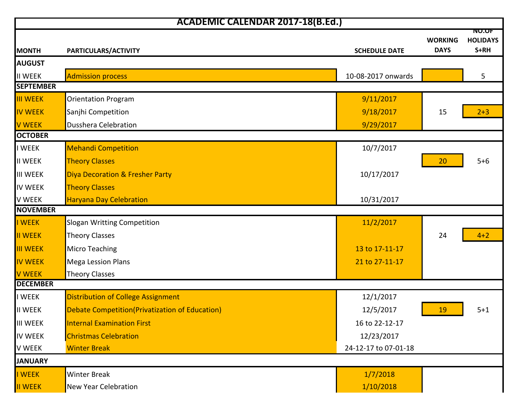| <b>ACADEMIC CALENDAR 2017-18(B.Ed.)</b> |                                                 |                      |                               |                                         |  |
|-----------------------------------------|-------------------------------------------------|----------------------|-------------------------------|-----------------------------------------|--|
| <b>MONTH</b>                            | PARTICULARS/ACTIVITY                            | <b>SCHEDULE DATE</b> | <b>WORKING</b><br><b>DAYS</b> | <b>NU.UF</b><br><b>HOLIDAYS</b><br>S+RH |  |
| <b>AUGUST</b>                           |                                                 |                      |                               |                                         |  |
| <b>II WEEK</b>                          | <b>Admission process</b>                        | 10-08-2017 onwards   |                               | 5                                       |  |
| <b>SEPTEMBER</b>                        |                                                 |                      |                               |                                         |  |
| <b>III WEEK</b>                         | <b>Orientation Program</b>                      | 9/11/2017            |                               |                                         |  |
| <b>IV WEEK</b>                          | Sanjhi Competition                              | 9/18/2017            | 15                            | $2 + 3$                                 |  |
| <b>V WEEK</b>                           | <b>Dusshera Celebration</b>                     | 9/29/2017            |                               |                                         |  |
| <b>OCTOBER</b>                          |                                                 |                      |                               |                                         |  |
| <b>WEEK</b>                             | <b>Mehandi Competition</b>                      | 10/7/2017            |                               |                                         |  |
| <b>II WEEK</b>                          | <b>Theory Classes</b>                           |                      | 20                            | $5+6$                                   |  |
| <b>III WEEK</b>                         | <b>Diya Decoration &amp; Fresher Party</b>      | 10/17/2017           |                               |                                         |  |
| <b>IV WEEK</b>                          | <b>Theory Classes</b>                           |                      |                               |                                         |  |
| <b>V WEEK</b>                           | <b>Haryana Day Celebration</b>                  | 10/31/2017           |                               |                                         |  |
| <b>NOVEMBER</b>                         |                                                 |                      |                               |                                         |  |
| I WEEK                                  | Slogan Writting Competition                     | 11/2/2017            |                               |                                         |  |
| <b>II WEEK</b>                          | <b>Theory Classes</b>                           |                      | 24                            | $4 + 2$                                 |  |
| <b>III WEEK</b>                         | <b>Micro Teaching</b>                           | 13 to 17-11-17       |                               |                                         |  |
| <b>IV WEEK</b>                          | <b>Mega Lession Plans</b>                       | 21 to 27-11-17       |                               |                                         |  |
| <b>V WEEK</b>                           | <b>Theory Classes</b>                           |                      |                               |                                         |  |
| <b>DECEMBER</b>                         |                                                 |                      |                               |                                         |  |
| I WEEK                                  | Distribution of College Assignment              | 12/1/2017            |                               |                                         |  |
| <b>II WEEK</b>                          | Debate Competition (Privatization of Education) | 12/5/2017            | 19                            | $5 + 1$                                 |  |
| <b>III WEEK</b>                         | <b>Internal Examination First</b>               | 16 to 22-12-17       |                               |                                         |  |
| IV WEEK                                 | <b>Christmas Celebration</b>                    | 12/23/2017           |                               |                                         |  |
| <b>V WEEK</b>                           | <b>Winter Break</b>                             | 24-12-17 to 07-01-18 |                               |                                         |  |
| <b>JANUARY</b>                          |                                                 |                      |                               |                                         |  |
| I WEEK                                  | Winter Break                                    | 1/7/2018             |                               |                                         |  |
| <b>II WEEK</b>                          | <b>New Year Celebration</b>                     | 1/10/2018            |                               |                                         |  |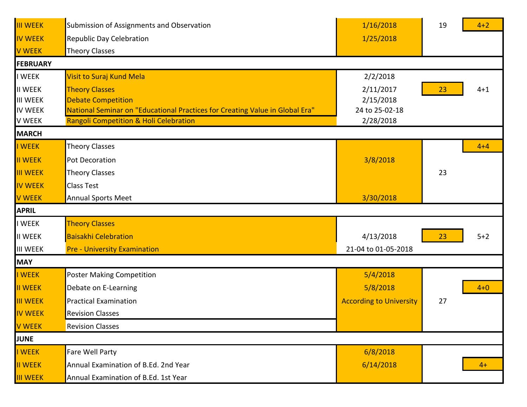| <b>III WEEK</b> | Submission of Assignments and Observation                                    | 1/16/2018                      | 19 | $4 + 2$ |  |
|-----------------|------------------------------------------------------------------------------|--------------------------------|----|---------|--|
| <b>IV WEEK</b>  | Republic Day Celebration                                                     | 1/25/2018                      |    |         |  |
| <b>V WEEK</b>   | <b>Theory Classes</b>                                                        |                                |    |         |  |
| <b>FEBRUARY</b> |                                                                              |                                |    |         |  |
| <b>I WEEK</b>   | Visit to Suraj Kund Mela                                                     | 2/2/2018                       |    |         |  |
| <b>II WEEK</b>  | <b>Theory Classes</b>                                                        | 2/11/2017                      | 23 | $4 + 1$ |  |
| <b>III WEEK</b> | <b>Debate Competition</b>                                                    | 2/15/2018                      |    |         |  |
| <b>IV WEEK</b>  | National Seminar on "Educational Practices for Creating Value in Global Era" | 24 to 25-02-18                 |    |         |  |
| V WEEK          | Rangoli Competition & Holi Celebration                                       | 2/28/2018                      |    |         |  |
| <b>MARCH</b>    |                                                                              |                                |    |         |  |
| I WEEK          | <b>Theory Classes</b>                                                        |                                |    | $4 + 4$ |  |
| II WEEK         | Pot Decoration                                                               | 3/8/2018                       |    |         |  |
| <b>III WEEK</b> | <b>Theory Classes</b>                                                        |                                | 23 |         |  |
| <b>IV WEEK</b>  | <b>Class Test</b>                                                            |                                |    |         |  |
| <b>V WEEK</b>   | <b>Annual Sports Meet</b>                                                    | 3/30/2018                      |    |         |  |
| <b>APRIL</b>    |                                                                              |                                |    |         |  |
| <b>I WEEK</b>   | <b>Theory Classes</b>                                                        |                                |    |         |  |
| <b>II WEEK</b>  | <b>Baisakhi Celebration</b>                                                  | 4/13/2018                      | 23 | $5+2$   |  |
| <b>III WEEK</b> | <b>Pre - University Examination</b>                                          | 21-04 to 01-05-2018            |    |         |  |
| <b>MAY</b>      |                                                                              |                                |    |         |  |
| I WEEK          | <b>Poster Making Competition</b>                                             | 5/4/2018                       |    |         |  |
| II WEEK         | Debate on E-Learning                                                         | 5/8/2018                       |    | $4+0$   |  |
| <b>III WEEK</b> | <b>Practical Examination</b>                                                 | <b>According to University</b> | 27 |         |  |
| <b>IV WEEK</b>  | <b>Revision Classes</b>                                                      |                                |    |         |  |
| <b>V WEEK</b>   | <b>Revision Classes</b>                                                      |                                |    |         |  |
| JUNE            |                                                                              |                                |    |         |  |
| I WEEK          | Fare Well Party                                                              | 6/8/2018                       |    |         |  |
| II WEEK         | Annual Examination of B.Ed. 2nd Year                                         | 6/14/2018                      |    | $4+$    |  |
| <b>III WEEK</b> | Annual Examination of B.Ed. 1st Year                                         |                                |    |         |  |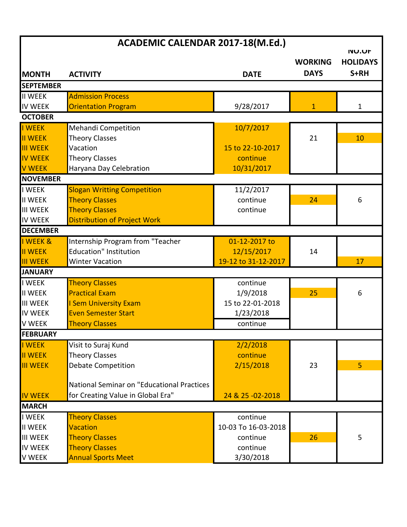| ACADEMIC CALENDAR 2017-18(M.Ed.) |                                            |                     |                               |                                         |
|----------------------------------|--------------------------------------------|---------------------|-------------------------------|-----------------------------------------|
| <b>MONTH</b>                     | <b>ACTIVITY</b>                            | <b>DATE</b>         | <b>WORKING</b><br><b>DAYS</b> | <b>NU.UF</b><br><b>HOLIDAYS</b><br>S+RH |
| <b>SEPTEMBER</b>                 |                                            |                     |                               |                                         |
| II WEEK                          | <b>Admission Process</b>                   |                     |                               |                                         |
| <b>IV WEEK</b>                   | <b>Orientation Program</b>                 | 9/28/2017           | 1                             | 1                                       |
| <b>OCTOBER</b>                   |                                            |                     |                               |                                         |
| I WEEK                           | <b>Mehandi Competition</b>                 | 10/7/2017           |                               |                                         |
| <b>II WEEK</b>                   | <b>Theory Classes</b>                      |                     | 21                            | 10                                      |
| <b>III WEEK</b>                  | Vacation                                   | 15 to 22-10-2017    |                               |                                         |
| <b>IV WEEK</b>                   | <b>Theory Classes</b>                      | continue            |                               |                                         |
| <b>V WEEK</b>                    | Haryana Day Celebration                    | 10/31/2017          |                               |                                         |
| <b>NOVEMBER</b>                  |                                            |                     |                               |                                         |
| <b>I WEEK</b>                    | <b>Slogan Writting Competition</b>         | 11/2/2017           |                               |                                         |
| <b>II WEEK</b>                   | <b>Theory Classes</b>                      | continue            | 24                            | 6                                       |
| <b>III WEEK</b>                  | <b>Theory Classes</b>                      | continue            |                               |                                         |
| <b>IV WEEK</b>                   | Distribution of Project Work               |                     |                               |                                         |
| <b>DECEMBER</b>                  |                                            |                     |                               |                                         |
| I WEEK &                         | Internship Program from "Teacher           | 01-12-2017 to       |                               |                                         |
| <b>II WEEK</b>                   | <b>Education" Institution</b>              | 12/15/2017          | 14                            |                                         |
| <b>III WEEK</b>                  | <b>Winter Vacation</b>                     | 19-12 to 31-12-2017 |                               | 17                                      |
| <b>JANUARY</b>                   |                                            |                     |                               |                                         |
| <b>I WEEK</b>                    | <b>Theory Classes</b>                      | continue            |                               |                                         |
| <b>II WEEK</b>                   | <b>Practical Exam</b>                      | 1/9/2018            | 25                            | 6                                       |
| <b>III WEEK</b>                  | <b>I Sem University Exam</b>               | 15 to 22-01-2018    |                               |                                         |
| <b>IV WEEK</b>                   | <b>Even Semester Start</b>                 | 1/23/2018           |                               |                                         |
| <b>V WEEK</b>                    | <b>Theory Classes</b>                      | continue            |                               |                                         |
| <b>FEBRUARY</b>                  |                                            |                     |                               |                                         |
| I WEEK                           | Visit to Suraj Kund                        | 2/2/2018            |                               |                                         |
| <b>II WEEK</b>                   | <b>Theory Classes</b>                      | continue            |                               |                                         |
| <b>III WEEK</b>                  | <b>Debate Competition</b>                  | 2/15/2018           | 23                            | 5                                       |
|                                  |                                            |                     |                               |                                         |
|                                  | National Seminar on "Educational Practices |                     |                               |                                         |
| <b>IV WEEK</b>                   | for Creating Value in Global Era"          | 24 & 25 - 02 - 2018 |                               |                                         |
| <b>MARCH</b>                     |                                            |                     |                               |                                         |
| <b>I WEEK</b>                    | <b>Theory Classes</b>                      | continue            |                               |                                         |
| <b>II WEEK</b>                   | Vacation                                   | 10-03 To 16-03-2018 |                               |                                         |
| <b>III WEEK</b>                  | <b>Theory Classes</b>                      | continue            | 26                            | 5                                       |
| <b>IV WEEK</b>                   | <b>Theory Classes</b>                      | continue            |                               |                                         |
| <b>V WEEK</b>                    | <b>Annual Sports Meet</b>                  | 3/30/2018           |                               |                                         |